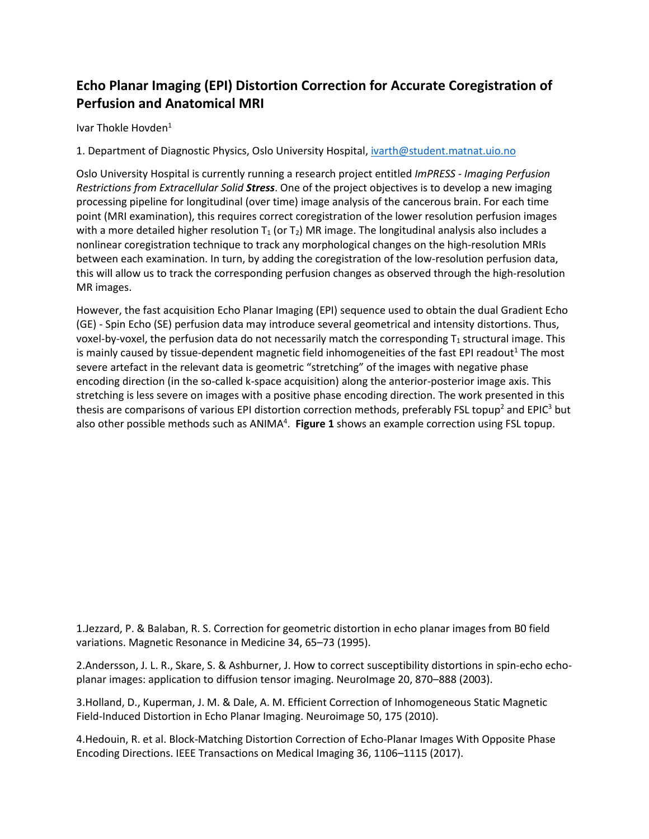## **Echo Planar Imaging (EPI) Distortion Correction for Accurate Coregistration of Perfusion and Anatomical MRI**

Ivar Thokle Hovden<sup>1</sup>

1. Department of Diagnostic Physics, Oslo University Hospital, [ivarth@student.matnat.uio.no](mailto:ivarth@student.matnat.uio.no)

Oslo University Hospital is currently running a research project entitled *ImPRESS - Imaging Perfusion Restrictions from Extracellular Solid Stress*. One of the project objectives is to develop a new imaging processing pipeline for longitudinal (over time) image analysis of the cancerous brain. For each time point (MRI examination), this requires correct coregistration of the lower resolution perfusion images with a more detailed higher resolution  $T_1$  (or  $T_2$ ) MR image. The longitudinal analysis also includes a nonlinear coregistration technique to track any morphological changes on the high-resolution MRIs between each examination. In turn, by adding the coregistration of the low-resolution perfusion data, this will allow us to track the corresponding perfusion changes as observed through the high-resolution MR images.

However, the fast acquisition Echo Planar Imaging (EPI) sequence used to obtain the dual Gradient Echo (GE) - Spin Echo (SE) perfusion data may introduce several geometrical and intensity distortions. Thus, voxel-by-voxel, the perfusion data do not necessarily match the corresponding  $T_1$  structural image. This is mainly caused by tissue-dependent magnetic field inhomogeneities of the fast EPI readout<sup>1</sup> The most severe artefact in the relevant data is geometric "stretching" of the images with negative phase encoding direction (in the so-called k-space acquisition) along the anterior-posterior image axis. This stretching is less severe on images with a positive phase encoding direction. The work presented in this thesis are comparisons of various EPI distortion correction methods, preferably FSL topup<sup>2</sup> and EPIC<sup>3</sup> but also other possible methods such as ANIMA<sup>4</sup>. Figure 1 shows an example correction using FSL topup.

1.Jezzard, P. & Balaban, R. S. Correction for geometric distortion in echo planar images from B0 field variations. Magnetic Resonance in Medicine 34, 65–73 (1995).

2.Andersson, J. L. R., Skare, S. & Ashburner, J. How to correct susceptibility distortions in spin-echo echoplanar images: application to diffusion tensor imaging. NeuroImage 20, 870–888 (2003).

3.Holland, D., Kuperman, J. M. & Dale, A. M. Efficient Correction of Inhomogeneous Static Magnetic Field-Induced Distortion in Echo Planar Imaging. Neuroimage 50, 175 (2010).

4.Hedouin, R. et al. Block-Matching Distortion Correction of Echo-Planar Images With Opposite Phase Encoding Directions. IEEE Transactions on Medical Imaging 36, 1106–1115 (2017).